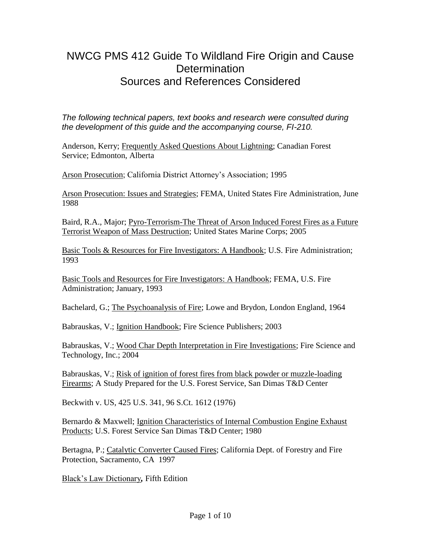## NWCG PMS 412 Guide To Wildland Fire Origin and Cause **Determination** Sources and References Considered

*The following technical papers, text books and research were consulted during the development of this guide and the accompanying course, FI-210.* 

Anderson, Kerry; Frequently Asked Questions About Lightning; Canadian Forest Service; Edmonton, Alberta

Arson Prosecution; California District Attorney's Association; 1995

Arson Prosecution: Issues and Strategies; FEMA, United States Fire Administration, June 1988

Baird, R.A., Major; Pyro-Terrorism-The Threat of Arson Induced Forest Fires as a Future Terrorist Weapon of Mass Destruction; United States Marine Corps; 2005

Basic Tools & Resources for Fire Investigators: A Handbook; U.S. Fire Administration; 1993

Basic Tools and Resources for Fire Investigators: A Handbook; FEMA, U.S. Fire Administration; January, 1993

Bachelard, G.; The Psychoanalysis of Fire; Lowe and Brydon, London England, 1964

Babrauskas, V.; Ignition Handbook; Fire Science Publishers; 2003

Babrauskas, V.; Wood Char Depth Interpretation in Fire Investigations; Fire Science and Technology, Inc.; 2004

Babrauskas, V.; Risk of ignition of forest fires from black powder or muzzle-loading Firearms; A Study Prepared for the U.S. Forest Service, San Dimas T&D Center

Beckwith v. US, 425 U.S. 341, 96 S.Ct. 1612 (1976)

Bernardo & Maxwell; Ignition Characteristics of Internal Combustion Engine Exhaust Products; U.S. Forest Service San Dimas T&D Center; 1980

Bertagna, P.; Catalytic Converter Caused Fires; California Dept. of Forestry and Fire Protection, Sacramento, CA 1997

Black's Law Dictionary*,* Fifth Edition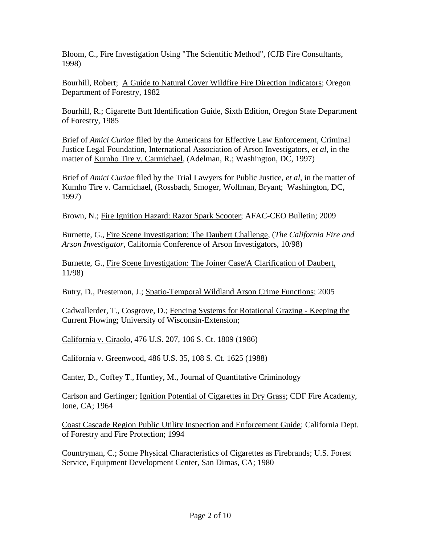Bloom, C., Fire Investigation Using "The Scientific Method", (CJB Fire Consultants, 1998)

Bourhill, Robert; A Guide to Natural Cover Wildfire Fire Direction Indicators; Oregon Department of Forestry, 1982

Bourhill, R.; Cigarette Butt Identification Guide*,* Sixth Edition, Oregon State Department of Forestry, 1985

Brief of *Amici Curiae* filed by the Americans for Effective Law Enforcement, Criminal Justice Legal Foundation, International Association of Arson Investigators, *et al*, in the matter of Kumho Tire v. Carmichael, (Adelman, R.; Washington, DC, 1997)

Brief of *Amici Curiae* filed by the Trial Lawyers for Public Justice, *et al*, in the matter of Kumho Tire v. Carmichael, (Rossbach, Smoger, Wolfman, Bryant; Washington, DC, 1997)

Brown, N.; Fire Ignition Hazard: Razor Spark Scooter; AFAC-CEO Bulletin; 2009

Burnette, G., Fire Scene Investigation: The Daubert Challenge, (*The California Fire and Arson Investigator*, California Conference of Arson Investigators, 10/98)

Burnette, G., Fire Scene Investigation: The Joiner Case/A Clarification of Daubert, 11/98)

Butry, D., Prestemon, J.; Spatio-Temporal Wildland Arson Crime Functions; 2005

Cadwallerder, T., Cosgrove, D.; Fencing Systems for Rotational Grazing - Keeping the Current Flowing; University of Wisconsin-Extension;

California v. Ciraolo, 476 U.S. 207, 106 S. Ct. 1809 (1986)

California v. Greenwood, 486 U.S. 35, 108 S. Ct. 1625 (1988)

Canter, D., Coffey T., Huntley, M., Journal of Quantitative Criminology

Carlson and Gerlinger; Ignition Potential of Cigarettes in Dry Grass; CDF Fire Academy, Ione, CA; 1964

Coast Cascade Region Public Utility Inspection and Enforcement Guide; California Dept. of Forestry and Fire Protection; 1994

Countryman, C.; Some Physical Characteristics of Cigarettes as Firebrands; U.S. Forest Service, Equipment Development Center, San Dimas, CA; 1980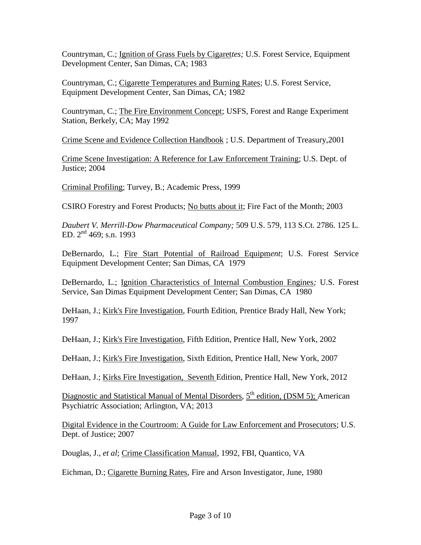Countryman, C.; Ignition of Grass Fuels by Cigaret*tes;* U.S. Forest Service, Equipment Development Center, San Dimas, CA; 1983

Countryman, C.; Cigarette Temperatures and Burning Rates; U.S. Forest Service, Equipment Development Center, San Dimas, CA; 1982

Countryman, C.; The Fire Environment Concept; USFS, Forest and Range Experiment Station, Berkely, CA; May 1992

Crime Scene and Evidence Collection Handbook ; U.S. Department of Treasury,2001

Crime Scene Investigation: A Reference for Law Enforcement Training; U.S. Dept. of Justice; 2004

Criminal Profiling; Turvey, B.; Academic Press, 1999

CSIRO Forestry and Forest Products; No butts about it; Fire Fact of the Month; 2003

*Daubert V. Merrill-Dow Pharmaceutical Company;* 509 U.S. 579, 113 S.Ct. 2786. 125 L. ED.  $2^{nd}$  469; s.n. 1993

DeBernardo, L.; Fire Start Potential of Railroad Equipm*ent*; U.S. Forest Service Equipment Development Center; San Dimas, CA 1979

DeBernardo, L.; Ignition Characteristics of Internal Combustion Engines*;* U.S. Forest Service, San Dimas Equipment Development Center; San Dimas, CA 1980

DeHaan, J.; Kirk's Fire Investigation, Fourth Edition, Prentice Brady Hall, New York; 1997

DeHaan, J.; Kirk's Fire Investigation, Fifth Edition, Prentice Hall, New York, 2002

DeHaan, J.; Kirk's Fire Investigation, Sixth Edition, Prentice Hall, New York, 2007

DeHaan, J.; Kirks Fire Investigation, Seventh Edition, Prentice Hall, New York, 2012

Diagnostic and Statistical Manual of Mental Disorders, 5<sup>th</sup> edition, (DSM 5); American Psychiatric Association; Arlington, VA; 2013

Digital Evidence in the Courtroom: A Guide for Law Enforcement and Prosecutors; U.S. Dept. of Justice; 2007

Douglas, J., *et al*; Crime Classification Manual, 1992, FBI, Quantico, VA

Eichman, D.; Cigarette Burning Rates*,* Fire and Arson Investigator*,* June, 1980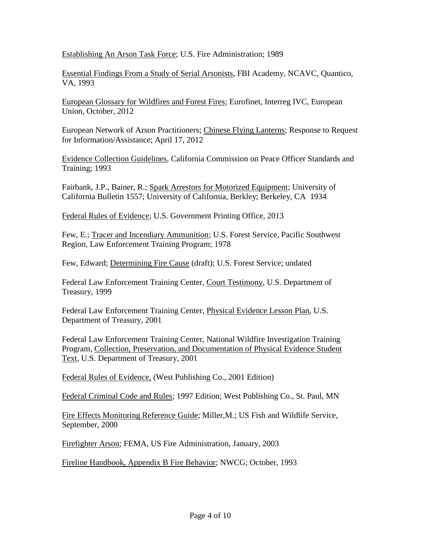Establishing An Arson Task Force; U.S. Fire Administration; 1989

Essential Findings From a Study of Serial Arsonists, FBI Academy, NCAVC, Quantico, VA, 1993

European Glossary for Wildfires and Forest Fires; Eurofinet, Interreg IVC, European Union, October, 2012

European Network of Arson Practitioners; Chinese Flying Lanterns; Response to Request for Information/Assistance; April 17, 2012

Evidence Collection Guidelines, California Commission on Peace Officer Standards and Training; 1993

Fairbank, J.P., Bainer, R.; Spark Arrestors for Motorized Equipment; University of California Bulletin 1557; University of California, Berkley; Berkeley, CA 1934

Federal Rules of Evidence; U.S. Government Printing Office, 2013

Few, E.; Tracer and Incendiary Ammunition; U.S. Forest Service, Pacific Southwest Region, Law Enforcement Training Program; 1978

Few, Edward; Determining Fire Cause (draft); U.S. Forest Service; undated

Federal Law Enforcement Training Center, Court Testimony, U.S. Department of Treasury, 1999

Federal Law Enforcement Training Center, Physical Evidence Lesson Plan, U.S. Department of Treasury, 2001

Federal Law Enforcement Training Center, National Wildfire Investigation Training Program, Collection, Preservation, and Documentation of Physical Evidence Student Text*,* U.S. Department of Treasury, 2001

Federal Rules of Evidence, (West Publishing Co., 2001 Edition)

Federal Criminal Code and Rules; 1997 Edition; West Publishing Co., St. Paul, MN

Fire Effects Monitoring Reference Guide; Miller,M.; US Fish and Wildlife Service, September, 2000

Firefighter Arson; FEMA, US Fire Administration, January, 2003

Fireline Handbook, Appendix B Fire Behavior; NWCG; October, 1993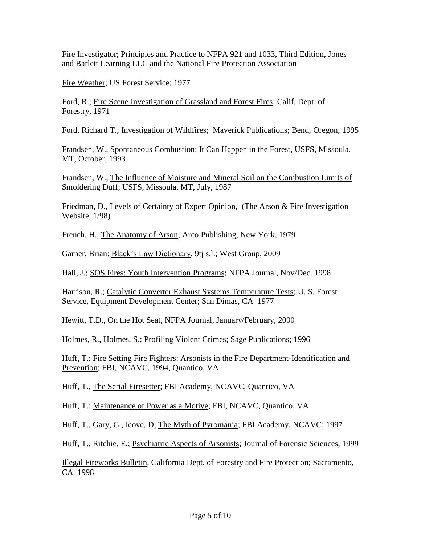Fire Investigator; Principles and Practice to NFPA 921 and 1033, Third Edition, Jones and Barlett Learning LLC and the National Fire Protection Association

Fire Weather; US Forest Service; 1977

Ford, R.; Fire Scene Investigation of Grassland and Forest Fires; Calif. Dept. of Forestry, 1971

Ford, Richard T.; Investigation of Wildfires; Maverick Publications; Bend, Oregon; 1995

Frandsen, W., Spontaneous Combustion: It Can Happen in the Forest, USFS, Missoula, MT, October, 1993

Frandsen, W., The Influence of Moisture and Mineral Soil on the Combustion Limits of Smoldering Duff; USFS, Missoula, MT, July, 1987

Friedman, D., Levels of Certainty of Expert Opinion, (The Arson & Fire Investigation Website, 1/98)

French, H.; The Anatomy of Arson; Arco Publishing, New York, 1979

Garner, Brian: Black's Law Dictionary, 9tj s.l.; West Group, 2009

Hall, J.; SOS Fires: Youth Intervention Programs; NFPA Journal, Nov/Dec. 1998

Harrison, R.; Catalytic Converter Exhaust Systems Temperature Tests; U. S. Forest Service, Equipment Development Center; San Dimas, CA 1977

Hewitt, T.D., On the Hot Seat, NFPA Journal, January/February, 2000

Holmes, R., Holmes, S.; Profiling Violent Crimes; Sage Publications; 1996

Huff, T.; Fire Setting Fire Fighters: Arsonists in the Fire Department-Identification and Prevention; FBI, NCAVC, 1994, Quantico, VA

Huff, T., The Serial Firesetter; FBI Academy, NCAVC, Quantico, VA

Huff, T.; Maintenance of Power as a Motive; FBI, NCAVC, Quantico, VA

Huff, T., Gary, G., Icove, D; The Myth of Pyromania; FBI Academy, NCAVC; 1997

Huff, T., Ritchie, E.; Psychiatric Aspects of Arsonists; Journal of Forensic Sciences, 1999

Illegal Fireworks Bulletin, California Dept. of Forestry and Fire Protection; Sacramento, CA 1998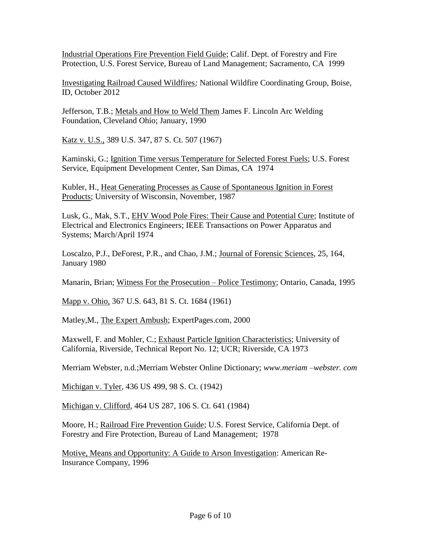Industrial Operations Fire Prevention Field Guide; Calif. Dept. of Forestry and Fire Protection, U.S. Forest Service, Bureau of Land Management; Sacramento, CA 1999

Investigating Railroad Caused Wildfires*;* National Wildfire Coordinating Group, Boise, ID, October 2012

Jefferson, T.B.; Metals and How to Weld Them James F. Lincoln Arc Welding Foundation, Cleveland Ohio; January, 1990

Katz v. U.S., 389 U.S. 347, 87 S. Ct. 507 (1967)

Kaminski, G.; Ignition Time versus Temperature for Selected Forest Fuels; U.S. Forest Service, Equipment Development Center, San Dimas, CA 1974

Kubler, H., Heat Generating Processes as Cause of Spontaneous Ignition in Forest Products; University of Wisconsin, November, 1987

Lusk, G., Mak, S.T., EHV Wood Pole Fires: Their Cause and Potential Cure; Institute of Electrical and Electronics Engineers; IEEE Transactions on Power Apparatus and Systems; March/April 1974

Loscalzo, P.J., DeForest, P.R., and Chao, J.M.; Journal of Forensic Sciences, 25, 164, January 1980

Manarin, Brian; Witness For the Prosecution – Police Testimony; Ontario, Canada, 1995

Mapp v. Ohio, 367 U.S. 643, 81 S. Ct. 1684 (1961)

Matley,M., The Expert Ambush; ExpertPages.com, 2000

Maxwell, F. and Mohler, C.; Exhaust Particle Ignition Characteristics; University of California, Riverside, Technical Report No. 12; UCR; Riverside, CA 1973

Merriam Webster, n.d.;Merriam Webster Online Dictionary; *www.meriam –webster. com*

Michigan v. Tyler, 436 US 499, 98 S. Ct. (1942)

Michigan v. Clifford*,* 464 US 287, 106 S. Ct. 641 (1984)

Moore, H.; Railroad Fire Prevention Guide; U.S. Forest Service, California Dept. of Forestry and Fire Protection, Bureau of Land Management; 1978

Motive, Means and Opportunity: A Guide to Arson Investigation: American Re-Insurance Company, 1996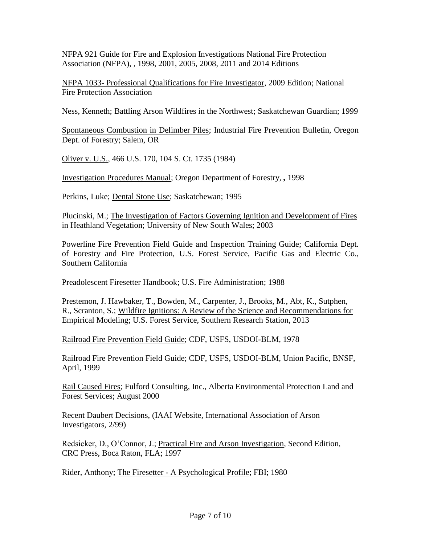NFPA 921 Guide for Fire and Explosion Investigations National Fire Protection Association (NFPA), , 1998, 2001, 2005, 2008, 2011 and 2014 Editions

NFPA 1033- Professional Qualifications for Fire Investigator, 2009 Edition; National Fire Protection Association

Ness, Kenneth; Battling Arson Wildfires in the Northwest; Saskatchewan Guardian; 1999

Spontaneous Combustion in Delimber Piles; Industrial Fire Prevention Bulletin, Oregon Dept. of Forestry; Salem, OR

Oliver v. U.S., 466 U.S. 170, 104 S. Ct. 1735 (1984)

Investigation Procedures Manual; Oregon Department of Forestry, *,* 1998

Perkins, Luke; Dental Stone Use; Saskatchewan; 1995

Plucinski, M.; The Investigation of Factors Governing Ignition and Development of Fires in Heathland Vegetation; University of New South Wales; 2003

Powerline Fire Prevention Field Guide and Inspection Training Guide; California Dept. of Forestry and Fire Protection, U.S. Forest Service, Pacific Gas and Electric Co., Southern California

Preadolescent Firesetter Handbook; U.S. Fire Administration; 1988

Prestemon, J. Hawbaker, T., Bowden, M., Carpenter, J., Brooks, M., Abt, K., Sutphen, R., Scranton, S.; Wildfire Ignitions: A Review of the Science and Recommendations for Empirical Modeling; U.S. Forest Service, Southern Research Station, 2013

Railroad Fire Prevention Field Guide; CDF, USFS, USDOI-BLM, 1978

Railroad Fire Prevention Field Guide; CDF, USFS, USDOI-BLM, Union Pacific, BNSF, April, 1999

Rail Caused Fires; Fulford Consulting, Inc., Alberta Environmental Protection Land and Forest Services; August 2000

Recent Daubert Decisions, (IAAI Website*,* International Association of Arson Investigators, 2/99)

Redsicker, D., O'Connor, J.; Practical Fire and Arson Investigation, Second Edition, CRC Press, Boca Raton, FLA; 1997

Rider, Anthony; The Firesetter - A Psychological Profile; FBI; 1980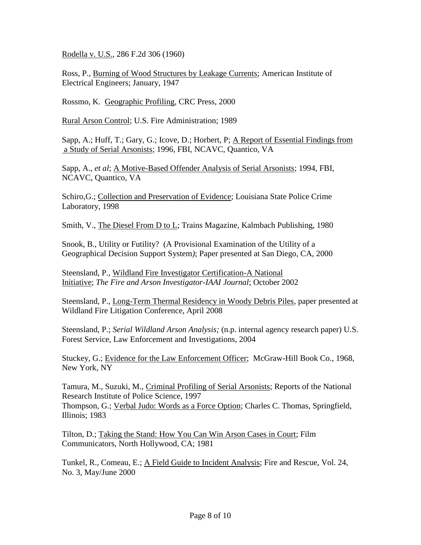Rodella v. U.S., 286 F.2d 306 (1960)

Ross, P., Burning of Wood Structures by Leakage Currents; American Institute of Electrical Engineers; January, 1947

Rossmo, K. Geographic Profiling, CRC Press, 2000

Rural Arson Control; U.S. Fire Administration; 1989

Sapp, A.; Huff, T.; Gary, G.; Icove, D.; Horbert, P; A Report of Essential Findings from a Study of Serial Arsonists; 1996, FBI, NCAVC, Quantico, VA

Sapp, A., *et al*; A Motive-Based Offender Analysis of Serial Arsonists; 1994, FBI, NCAVC, Quantico, VA

Schiro,G.; Collection and Preservation of Evidence; Louisiana State Police Crime Laboratory, 1998

Smith, V., The Diesel From D to L; Trains Magazine, Kalmbach Publishing, 1980

Snook, B., Utility or Futility? (A Provisional Examination of the Utility of a Geographical Decision Support System*)*; Paper presented at San Diego, CA, 2000

Steensland, P., Wildland Fire Investigator Certification-A National Initiative; *The Fire and Arson Investigator-IAAI Journal*; October 2002

Steensland, P., Long-Term Thermal Residency in Woody Debris Piles*,* paper presented at Wildland Fire Litigation Conference, April 2008

Steensland, P.; *Serial Wildland Arson Analysis;* (n.p. internal agency research paper) U.S. Forest Service, Law Enforcement and Investigations, 2004

Stuckey, G.; Evidence for the Law Enforcement Officer; McGraw-Hill Book Co., 1968, New York, NY

Tamura, M., Suzuki, M., Criminal Profiling of Serial Arsonists; Reports of the National Research Institute of Police Science, 1997 Thompson, G.; Verbal Judo: Words as a Force Option; Charles C. Thomas, Springfield, Illinois; 1983

Tilton, D.; Taking the Stand: How You Can Win Arson Cases in Court; Film Communicators, North Hollywood, CA; 1981

Tunkel, R., Comeau, E.; A Field Guide to Incident Analysis; Fire and Rescue, Vol. 24, No. 3, May/June 2000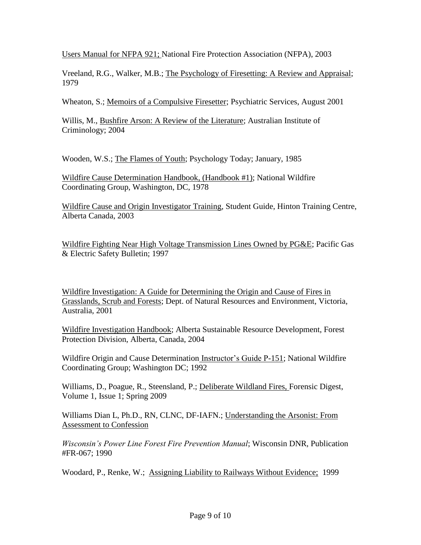Users Manual for NFPA 921; National Fire Protection Association (NFPA), 2003

Vreeland, R.G., Walker, M.B.; The Psychology of Firesetting: A Review and Appraisal; 1979

Wheaton, S.; Memoirs of a Compulsive Firesetter; Psychiatric Services, August 2001

Willis, M., Bushfire Arson: A Review of the Literature; Australian Institute of Criminology; 2004

Wooden, W.S.; The Flames of Youth; Psychology Today; January, 1985

Wildfire Cause Determination Handbook, (Handbook #1); National Wildfire Coordinating Group, Washington, DC, 1978

Wildfire Cause and Origin Investigator Training, Student Guide, Hinton Training Centre, Alberta Canada, 2003

Wildfire Fighting Near High Voltage Transmission Lines Owned by PG&E; Pacific Gas & Electric Safety Bulletin; 1997

Wildfire Investigation: A Guide for Determining the Origin and Cause of Fires in Grasslands, Scrub and Forests; Dept. of Natural Resources and Environment, Victoria, Australia, 2001

Wildfire Investigation Handbook; Alberta Sustainable Resource Development, Forest Protection Division, Alberta, Canada, 2004

Wildfire Origin and Cause Determination Instructor's Guide P-151; National Wildfire Coordinating Group; Washington DC; 1992

Williams, D., Poague, R., Steensland, P.; Deliberate Wildland Fires, Forensic Digest, Volume 1, Issue 1; Spring 2009

Williams Dian L, Ph.D., RN, CLNC, DF-IAFN.; Understanding the Arsonist: From Assessment to Confession

*Wisconsin's Power Line Forest Fire Prevention Manual*; Wisconsin DNR, Publication #FR-067; 1990

Woodard, P., Renke, W.; Assigning Liability to Railways Without Evidence; 1999